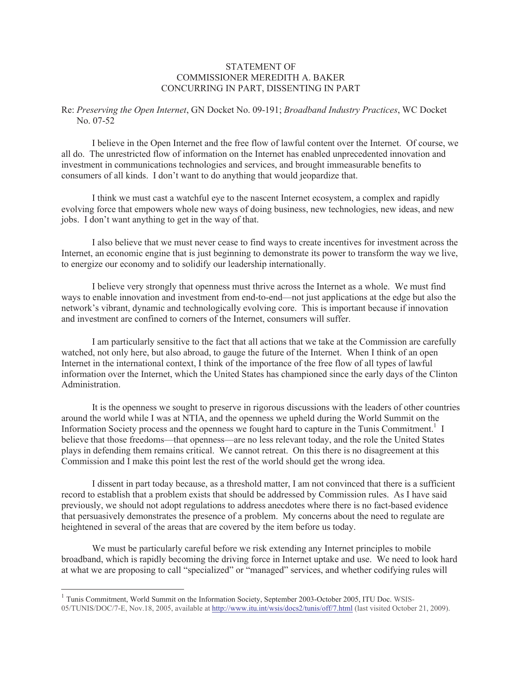## STATEMENT OF COMMISSIONER MEREDITH A. BAKER CONCURRING IN PART, DISSENTING IN PART

## Re: *Preserving the Open Internet*, GN Docket No. 09-191; *Broadband Industry Practices*, WC Docket No. 07-52

I believe in the Open Internet and the free flow of lawful content over the Internet. Of course, we all do. The unrestricted flow of information on the Internet has enabled unprecedented innovation and investment in communications technologies and services, and brought immeasurable benefits to consumers of all kinds. I don't want to do anything that would jeopardize that.

I think we must cast a watchful eye to the nascent Internet ecosystem, a complex and rapidly evolving force that empowers whole new ways of doing business, new technologies, new ideas, and new jobs. I don't want anything to get in the way of that.

I also believe that we must never cease to find ways to create incentives for investment across the Internet, an economic engine that is just beginning to demonstrate its power to transform the way we live, to energize our economy and to solidify our leadership internationally.

I believe very strongly that openness must thrive across the Internet as a whole. We must find ways to enable innovation and investment from end-to-end—not just applications at the edge but also the network's vibrant, dynamic and technologically evolving core. This is important because if innovation and investment are confined to corners of the Internet, consumers will suffer.

I am particularly sensitive to the fact that all actions that we take at the Commission are carefully watched, not only here, but also abroad, to gauge the future of the Internet. When I think of an open Internet in the international context, I think of the importance of the free flow of all types of lawful information over the Internet, which the United States has championed since the early days of the Clinton Administration.

It is the openness we sought to preserve in rigorous discussions with the leaders of other countries around the world while I was at NTIA, and the openness we upheld during the World Summit on the Information Society process and the openness we fought hard to capture in the Tunis Commitment.<sup>1</sup> I believe that those freedoms—that openness—are no less relevant today, and the role the United States plays in defending them remains critical. We cannot retreat. On this there is no disagreement at this Commission and I make this point lest the rest of the world should get the wrong idea.

I dissent in part today because, as a threshold matter, I am not convinced that there is a sufficient record to establish that a problem exists that should be addressed by Commission rules. As I have said previously, we should not adopt regulations to address anecdotes where there is no fact-based evidence that persuasively demonstrates the presence of a problem. My concerns about the need to regulate are heightened in several of the areas that are covered by the item before us today.

We must be particularly careful before we risk extending any Internet principles to mobile broadband, which is rapidly becoming the driving force in Internet uptake and use. We need to look hard at what we are proposing to call "specialized" or "managed" services, and whether codifying rules will

<sup>&</sup>lt;sup>1</sup> Tunis Commitment, World Summit on the Information Society, September 2003-October 2005, ITU Doc. WSIS-05/TUNIS/DOC/7-E, Nov.18, 2005, available at http://www.itu.int/wsis/docs2/tunis/off/7.html (last visited October 21, 2009).